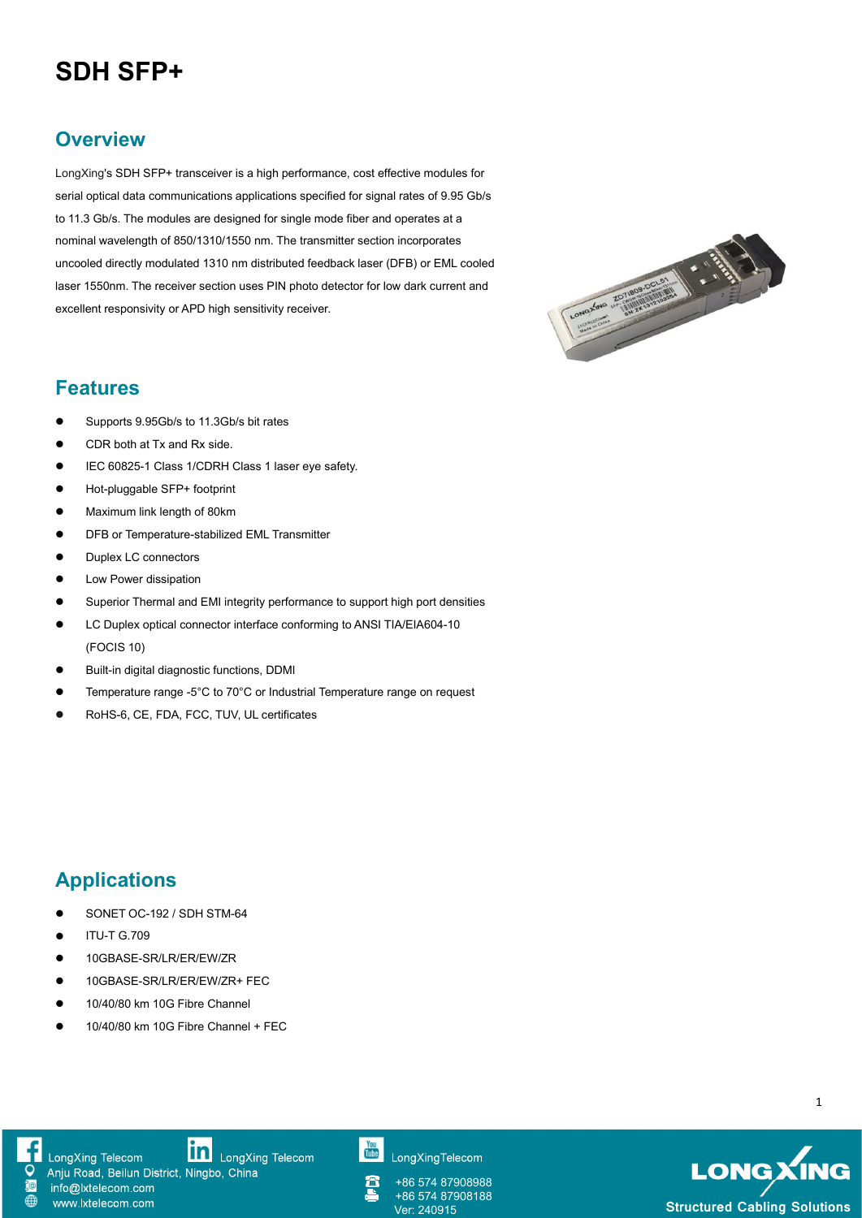## **SDH SFP+**

## **Overview**

LongXing's SDH SFP+ transceiver is a high performance, cost effective modules for serial optical data communications applications specified for signal rates of 9.95 Gb/s to 11.3 Gb/s. The modules are designed for single mode fiber and operates at a nominal wavelength of 850/1310/1550 nm. The transmitter section incorporates uncooled directly modulated 1310 nm distributed feedback laser (DFB) or EML cooled<br>laser 1550nm. The receiver section uses PIN photo detector for low dark current and<br>excellent responsivity or APD high sensitivity receiver laser 1550nm. The receiver section uses PIN photo detector for low dark current and excellent responsivity or APD high sensitivity receiver.



## **Features**

- Supports 9.95Gb/s to 11.3Gb/s bit rates
- CDR both at Tx and Rx side.
- IEC 60825-1 Class 1/CDRH Class 1 laser eye safety.
- Hot-pluggable SFP+ footprint
- **Maximum link length of 80km**
- **•** DFB or Temperature-stabilized EML Transmitter
- Duplex LC connectors
- **•** Low Power dissipation
- Superior Thermal and EMI integrity performance to support high port densities
- LC Duplex optical connector interface conforming to ANSI TIA/EIA604-10 (FOCIS 10)
- Built-in digital diagnostic functions, DDMI
- Temperature range -5°C to 70°C or Industrial Temperature range on request
- RoHS-6, CE, FDA, FCC, TUV, UL certificates

## **Applications**

- SONET OC-192 / SDH STM-64
- $\bullet$  ITU-T G.709

www.lxtelecom.com

- 10GBASE-SR/LR/ER/EW/ZR
- 10GBASE-SR/LR/ER/EW/ZR+ FEC
- 10/40/80 km 10G Fibre Channel
- 10/40/80 km 10G Fibre Channel + FEC

LongXing Telecom

LongXing Telecom Anju Road, Beilun District, Ningbo, China info@lxtelecom.com

LongXingTelecom

+86 574 87908988 +86 574 87908188



1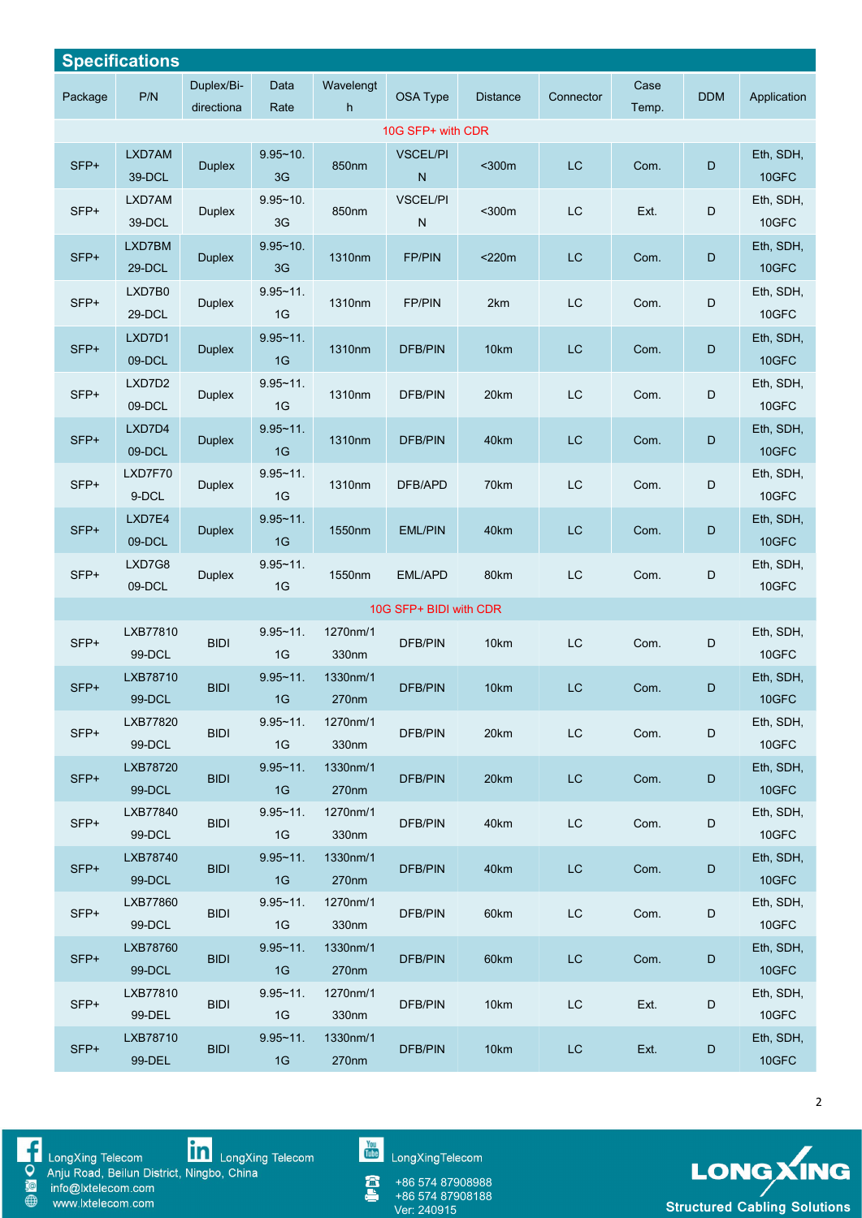| <b>Specifications</b> |                    |                          |                     |                   |                              |                 |               |               |             |                    |
|-----------------------|--------------------|--------------------------|---------------------|-------------------|------------------------------|-----------------|---------------|---------------|-------------|--------------------|
| Package               | P/N                | Duplex/Bi-<br>directiona | Data<br>Rate        | Wavelengt<br>h    | OSA Type                     | <b>Distance</b> | Connector     | Case<br>Temp. | <b>DDM</b>  | Application        |
|                       |                    |                          |                     |                   | 10G SFP+ with CDR            |                 |               |               |             |                    |
| SFP+                  | LXD7AM<br>39-DCL   | <b>Duplex</b>            | $9.95 - 10.$<br>3G  | 850nm             | <b>VSCEL/PI</b><br>N         | $300m$          | LC            | Com.          | D           | Eth, SDH,<br>10GFC |
| $SFP+$                | LXD7AM<br>39-DCL   | Duplex                   | $9.95 - 10$ .<br>3G | 850nm             | <b>VSCEL/PI</b><br>${\sf N}$ | $300m$          | $\mathsf{LC}$ | Ext.          | D           | Eth, SDH,<br>10GFC |
| SFP+                  | LXD7BM<br>29-DCL   | <b>Duplex</b>            | $9.95 - 10.$<br>3G  | 1310nm            | <b>FP/PIN</b>                | $<$ 220 $m$     | LC            | Com.          | D           | Eth, SDH,<br>10GFC |
| SFP+                  | LXD7B0<br>29-DCL   | <b>Duplex</b>            | $9.95 - 11.$<br>1G  | 1310nm            | FP/PIN                       | 2km             | LC            | Com.          | D           | Eth, SDH,<br>10GFC |
| SFP+                  | LXD7D1<br>09-DCL   | <b>Duplex</b>            | $9.95 - 11$ .<br>1G | 1310nm            | <b>DFB/PIN</b>               | 10km            | $\mathsf{LC}$ | Com.          | D           | Eth, SDH,<br>10GFC |
| SFP+                  | LXD7D2<br>09-DCL   | <b>Duplex</b>            | $9.95 - 11.$<br>1G  | 1310nm            | DFB/PIN                      | 20km            | LC            | Com.          | D           | Eth, SDH,<br>10GFC |
| SFP+                  | LXD7D4<br>09-DCL   | <b>Duplex</b>            | $9.95 - 11.$<br>1G  | 1310nm            | <b>DFB/PIN</b>               | 40km            | <b>LC</b>     | Com.          | $\mathsf D$ | Eth, SDH,<br>10GFC |
| SFP+                  | LXD7F70<br>9-DCL   | <b>Duplex</b>            | $9.95 - 11.$<br>1G  | 1310nm            | DFB/APD                      | 70km            | $\mathsf{LC}$ | Com.          | D           | Eth, SDH,<br>10GFC |
| SFP+                  | LXD7E4<br>09-DCL   | <b>Duplex</b>            | $9.95 - 11.$<br>1G  | 1550nm            | <b>EML/PIN</b>               | 40km            | LC            | Com.          | $\mathsf D$ | Eth, SDH,<br>10GFC |
| SFP+                  | LXD7G8<br>09-DCL   | <b>Duplex</b>            | $9.95 - 11$ .<br>1G | 1550nm            | EML/APD                      | 80km            | LC            | Com.          | D           | Eth, SDH,<br>10GFC |
|                       |                    |                          |                     |                   | 10G SFP+ BIDI with CDR       |                 |               |               |             |                    |
| SFP+                  | LXB77810<br>99-DCL | <b>BIDI</b>              | $9.95 - 11.$<br>1G  | 1270nm/1<br>330nm | DFB/PIN                      | 10km            | $\mathsf{LC}$ | Com.          | D           | Eth, SDH,<br>10GFC |
| SFP+                  | LXB78710<br>99-DCL | <b>BIDI</b>              | $9.95 - 11$ .<br>1G | 1330nm/1<br>270nm | <b>DFB/PIN</b>               | 10km            | <b>LC</b>     | Com.          | D           | Eth, SDH,<br>10GFC |
| SFP+                  | LXB77820<br>99-DCL | <b>BIDI</b>              | $9.95 - 11.$<br>1G  | 1270nm/1<br>330nm | DFB/PIN                      | 20km            | LC            | Com.          | D           | Eth, SDH,<br>10GFC |
| SFP+                  | LXB78720<br>99-DCL | <b>BIDI</b>              | $9.95 - 11$ .<br>1G | 1330nm/1<br>270nm | <b>DFB/PIN</b>               | 20km            | LC            | Com.          | D           | Eth, SDH,<br>10GFC |
| SFP+                  | LXB77840<br>99-DCL | <b>BIDI</b>              | $9.95 - 11.$<br>1G  | 1270nm/1<br>330nm | <b>DFB/PIN</b>               | 40km            | $\mathsf{LC}$ | Com.          | D           | Eth, SDH,<br>10GFC |
| SFP+                  | LXB78740<br>99-DCL | <b>BIDI</b>              | $9.95 - 11.$<br>1G  | 1330nm/1<br>270nm | <b>DFB/PIN</b>               | 40km            | LC            | Com.          | D           | Eth, SDH,<br>10GFC |
| SFP+                  | LXB77860<br>99-DCL | <b>BIDI</b>              | $9.95 - 11$ .<br>1G | 1270nm/1<br>330nm | <b>DFB/PIN</b>               | 60km            | $\mathsf{LC}$ | Com.          | D           | Eth, SDH,<br>10GFC |
| $SFP+$                | LXB78760<br>99-DCL | <b>BIDI</b>              | $9.95 - 11.$<br>1G  | 1330nm/1<br>270nm | <b>DFB/PIN</b>               | 60km            | $\mathsf{LC}$ | Com.          | D           | Eth, SDH,<br>10GFC |
| SFP+                  | LXB77810<br>99-DEL | <b>BIDI</b>              | $9.95 - 11$ .<br>1G | 1270nm/1<br>330nm | <b>DFB/PIN</b>               | 10km            | <b>LC</b>     | Ext.          | D           | Eth, SDH,<br>10GFC |
| SFP+                  | LXB78710<br>99-DEL | <b>BIDI</b>              | $9.95 - 11$ .<br>1G | 1330nm/1<br>270nm | <b>DFB/PIN</b>               | 10km            | $\mathsf{LC}$ | Ext.          | D           | Eth, SDH,<br>10GFC |



■ LongXing Telecom<br>
● Anju Road, Beilun District, Ningbo, China<br>
● www.lxtelecom.com<br>
● www.lxtelecom.com

You<br>Tube LongXingTelecom

a<br>A +86 574 87908988 +86 574 87908188



2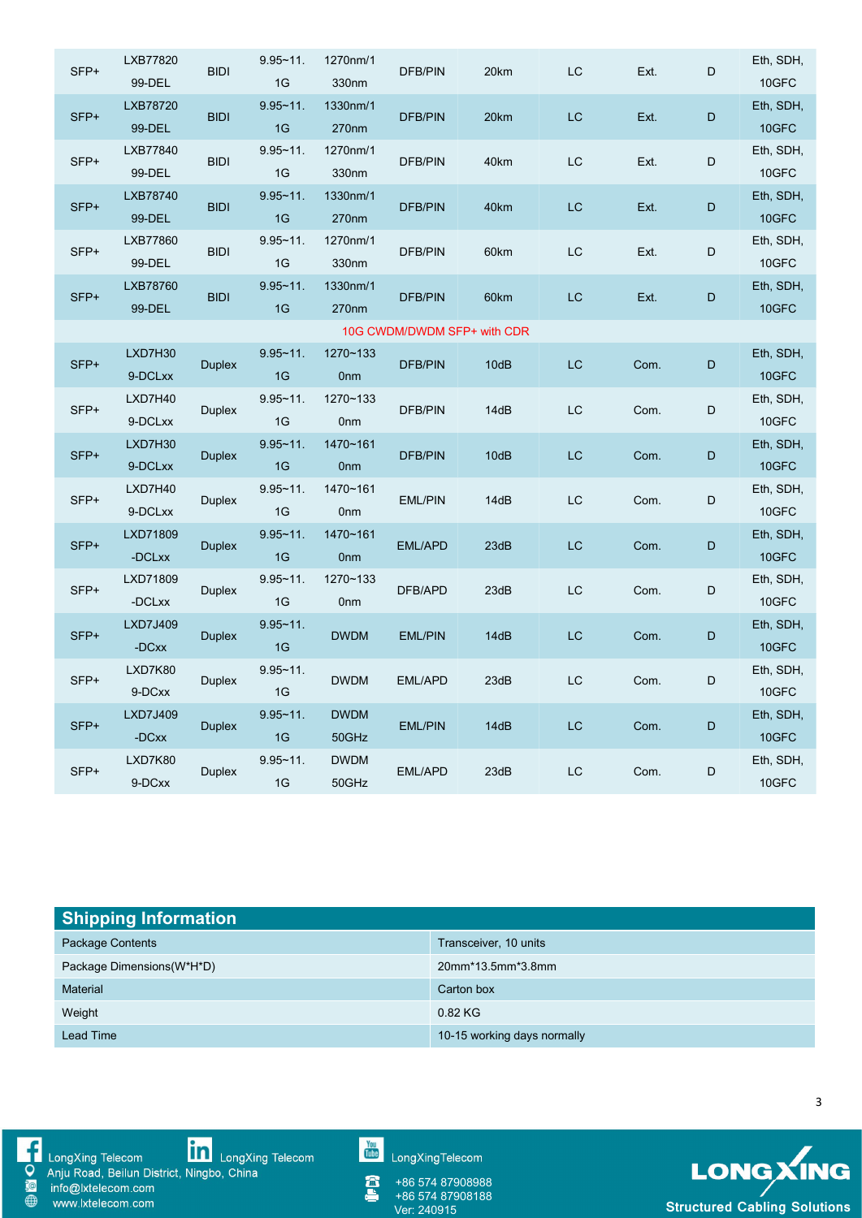| SFP+                        | LXB77820<br>99-DEL | <b>BIDI</b>   | $9.95 - 11.$<br>1G  | 1270nm/1<br>330nm           | DFB/PIN        | 20km | LC                     | Ext. | D           | Eth, SDH,<br>10GFC |
|-----------------------------|--------------------|---------------|---------------------|-----------------------------|----------------|------|------------------------|------|-------------|--------------------|
| SFP+                        | LXB78720<br>99-DEL | <b>BIDI</b>   | $9.95 - 11.$<br>1G  | 1330nm/1<br>270nm           | <b>DFB/PIN</b> | 20km | LC                     | Ext. | D           | Eth, SDH,<br>10GFC |
| SFP+                        | LXB77840<br>99-DEL | <b>BIDI</b>   | $9.95 - 11$ .<br>1G | 1270nm/1<br>330nm           | <b>DFB/PIN</b> | 40km | LC                     | Ext. | D           | Eth, SDH,<br>10GFC |
| SFP+                        | LXB78740<br>99-DEL | <b>BIDI</b>   | $9.95 - 11$ .<br>1G | 1330nm/1<br>270nm           | <b>DFB/PIN</b> | 40km | <b>LC</b>              | Ext. | $\mathsf D$ | Eth, SDH,<br>10GFC |
| $SFP+$                      | LXB77860<br>99-DEL | <b>BIDI</b>   | $9.95 - 11$ .<br>1G | 1270nm/1<br>330nm           | DFB/PIN        | 60km | $\mathsf{L}\mathsf{C}$ | Ext. | D           | Eth, SDH,<br>10GFC |
| SFP+                        | LXB78760<br>99-DEL | <b>BIDI</b>   | $9.95 - 11$ .<br>1G | 1330nm/1<br>270nm           | <b>DFB/PIN</b> | 60km | LC                     | Ext. | D           | Eth, SDH,<br>10GFC |
| 10G CWDM/DWDM SFP+ with CDR |                    |               |                     |                             |                |      |                        |      |             |                    |
| SFP+                        | LXD7H30<br>9-DCLxx | <b>Duplex</b> | $9.95 - 11$ .<br>1G | 1270~133<br>0 <sub>nm</sub> | DFB/PIN        | 10dB | $\mathsf{LC}$          | Com. | D           | Eth, SDH,<br>10GFC |
| SFP+                        | LXD7H40<br>9-DCLxx | <b>Duplex</b> | $9.95 - 11.$<br>1G  | 1270~133<br>0 <sub>nm</sub> | <b>DFB/PIN</b> | 14dB | <b>LC</b>              | Com. | D           | Eth, SDH,<br>10GFC |
| SFP+                        | LXD7H30<br>9-DCLxx | <b>Duplex</b> | $9.95 - 11$ .<br>1G | 1470~161<br>0 <sub>nm</sub> | <b>DFB/PIN</b> | 10dB | LC                     | Com. | D           | Eth, SDH,<br>10GFC |
| SFP+                        | LXD7H40<br>9-DCLxx | <b>Duplex</b> | $9.95 - 11.$<br>1G  | 1470~161<br>0 <sub>nm</sub> | <b>EML/PIN</b> | 14dB | <b>LC</b>              | Com. | D           | Eth, SDH,<br>10GFC |
| SFP+                        | LXD71809<br>-DCLxx | <b>Duplex</b> | $9.95 - 11$ .<br>1G | 1470~161<br>0 <sub>nm</sub> | EML/APD        | 23dB | <b>LC</b>              | Com. | D           | Eth, SDH,<br>10GFC |
| SFP+                        | LXD71809<br>-DCLxx | <b>Duplex</b> | $9.95 - 11.$<br>1G  | 1270~133<br>0 <sub>nm</sub> | DFB/APD        | 23dB | $\mathsf{LC}$          | Com. | D           | Eth, SDH,<br>10GFC |
| SFP+                        | LXD7J409<br>-DCxx  | <b>Duplex</b> | $9.95 - 11$ .<br>1G | <b>DWDM</b>                 | <b>EML/PIN</b> | 14dB | <b>LC</b>              | Com. | D           | Eth, SDH,<br>10GFC |
| SFP+                        | LXD7K80<br>9-DCxx  | <b>Duplex</b> | $9.95 - 11$ .<br>1G | <b>DWDM</b>                 | EML/APD        | 23dB | $\mathsf{LC}$          | Com. | D           | Eth, SDH,<br>10GFC |
| SFP+                        | LXD7J409<br>-DCxx  | <b>Duplex</b> | $9.95 - 11.$<br>1G  | <b>DWDM</b><br>50GHz        | <b>EML/PIN</b> | 14dB | LC                     | Com. | D           | Eth, SDH,<br>10GFC |
| SFP+                        | LXD7K80<br>9-DCxx  | <b>Duplex</b> | $9.95 - 11.$<br>1G  | <b>DWDM</b><br>50GHz        | EML/APD        | 23dB | $\mathsf{L}\mathsf{C}$ | Com. | D           | Eth, SDH,<br>10GFC |

| <b>Shipping Information</b> |                             |  |  |  |  |  |
|-----------------------------|-----------------------------|--|--|--|--|--|
| Package Contents            | Transceiver, 10 units       |  |  |  |  |  |
| Package Dimensions (W*H*D)  | 20mm*13.5mm*3.8mm           |  |  |  |  |  |
| Material                    | Carton box                  |  |  |  |  |  |
| Weight                      | 0.82 KG                     |  |  |  |  |  |
| <b>Lead Time</b>            | 10-15 working days normally |  |  |  |  |  |



■ LongXing Telecom<br>
● Anju Road, Beilun District, Ningbo, China<br>
● www.lxtelecom.com<br>
● www.lxtelecom.com

You<br>Tube LongXingTelecom

Â +86 574 87908988 +86 574 87908188